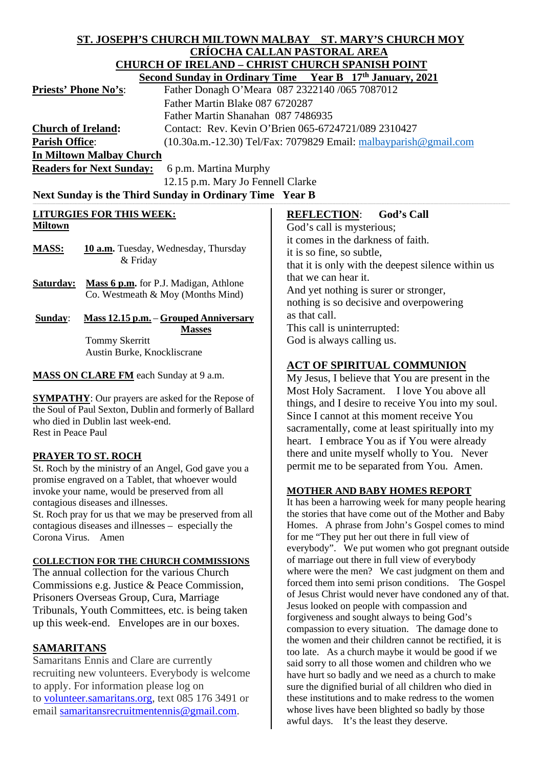| <u>CRÍOCHA CALLAN PASTORAL AREA</u><br><b>CHURCH OF IRELAND - CHRIST CHURCH SPANISH POINT</b><br><b>Second Sunday in Ordinary Time Year B 17th January, 2021</b><br>Father Donagh O'Meara 087 2322140 /065 7087012<br><b>Priests' Phone No's:</b><br>Father Martin Blake 087 6720287<br>Father Martin Shanahan 087 7486935<br>Contact: Rev. Kevin O'Brien 065-6724721/089 2310427<br>$(10.30a.m.-12.30)$ Tel/Fax: 7079829 Email: $malbayparish@gmail.com$<br>6 p.m. Martina Murphy<br>12.15 p.m. Mary Jo Fennell Clarke<br>Next Sunday is the Third Sunday in Ordinary Time Year B<br><b>LITURGIES FOR THIS WEEK:</b><br><b>REFLECTION:</b><br><b>God's Call</b><br><b>Miltown</b><br>God's call is mysterious;<br>it comes in the darkness of faith.<br>10 a.m. Tuesday, Wednesday, Thursday<br><b>MASS:</b><br>it is so fine, so subtle,<br>& Friday<br>that it is only with the deepest silence within us<br>that we can hear it.<br>Mass 6 p.m. for P.J. Madigan, Athlone<br>And yet nothing is surer or stronger,<br>Co. Westmeath & Moy (Months Mind)<br>nothing is so decisive and overpowering<br>as that call.<br>Mass 12.15 p.m. - Grouped Anniversary<br>Sunday:<br>This call is uninterrupted:<br><b>Masses</b><br>God is always calling us.<br><b>Tommy Skerritt</b><br>Austin Burke, Knockliscrane<br><b>ACT OF SPIRITUAL COMMUNION</b><br>MASS ON CLARE FM each Sunday at 9 a.m.<br>My Jesus, I believe that You are present in the<br>Most Holy Sacrament. I love You above all<br>things, and I desire to receive You into my soul.<br>Since I cannot at this moment receive You<br>who died in Dublin last week-end.<br>sacramentally, come at least spiritually into my<br>Rest in Peace Paul<br>heart. I embrace You as if You were already<br>there and unite myself wholly to You. Never<br><b>PRAYER TO ST. ROCH</b><br>permit me to be separated from You. Amen.<br>St. Roch by the ministry of an Angel, God gave you a<br>promise engraved on a Tablet, that whoever would<br><b>MOTHER AND BABY HOMES REPORT</b><br>invoke your name, would be preserved from all<br>It has been a harrowing week for many people hearing<br>contagious diseases and illnesses.<br>the stories that have come out of the Mother and Baby<br>St. Roch pray for us that we may be preserved from all<br>Homes. A phrase from John's Gospel comes to mind<br>contagious diseases and illnesses – especially the<br>for me "They put her out there in full view of<br>everybody". We put women who got pregnant outside<br>of marriage out there in full view of everybody<br>where were the men? We cast judgment on them and<br>forced them into semi prison conditions.<br>The Gospel<br>of Jesus Christ would never have condoned any of that.<br>Jesus looked on people with compassion and<br>forgiveness and sought always to being God's<br>compassion to every situation. The damage done to<br>the women and their children cannot be rectified, it is | ST. JOSEPH'S CHURCH MILTOWN MALBAY  ST. MARY'S CHURCH MOY |                                                    |  |
|-------------------------------------------------------------------------------------------------------------------------------------------------------------------------------------------------------------------------------------------------------------------------------------------------------------------------------------------------------------------------------------------------------------------------------------------------------------------------------------------------------------------------------------------------------------------------------------------------------------------------------------------------------------------------------------------------------------------------------------------------------------------------------------------------------------------------------------------------------------------------------------------------------------------------------------------------------------------------------------------------------------------------------------------------------------------------------------------------------------------------------------------------------------------------------------------------------------------------------------------------------------------------------------------------------------------------------------------------------------------------------------------------------------------------------------------------------------------------------------------------------------------------------------------------------------------------------------------------------------------------------------------------------------------------------------------------------------------------------------------------------------------------------------------------------------------------------------------------------------------------------------------------------------------------------------------------------------------------------------------------------------------------------------------------------------------------------------------------------------------------------------------------------------------------------------------------------------------------------------------------------------------------------------------------------------------------------------------------------------------------------------------------------------------------------------------------------------------------------------------------------------------------------------------------------------------------------------------------------------------------------------------------------------------------------------------------------------------------------------------------------------------------------------------------------------------------------------------------------------------------------------------------------------------------------------------------------------------------|-----------------------------------------------------------|----------------------------------------------------|--|
|                                                                                                                                                                                                                                                                                                                                                                                                                                                                                                                                                                                                                                                                                                                                                                                                                                                                                                                                                                                                                                                                                                                                                                                                                                                                                                                                                                                                                                                                                                                                                                                                                                                                                                                                                                                                                                                                                                                                                                                                                                                                                                                                                                                                                                                                                                                                                                                                                                                                                                                                                                                                                                                                                                                                                                                                                                                                                                                                                                         |                                                           |                                                    |  |
|                                                                                                                                                                                                                                                                                                                                                                                                                                                                                                                                                                                                                                                                                                                                                                                                                                                                                                                                                                                                                                                                                                                                                                                                                                                                                                                                                                                                                                                                                                                                                                                                                                                                                                                                                                                                                                                                                                                                                                                                                                                                                                                                                                                                                                                                                                                                                                                                                                                                                                                                                                                                                                                                                                                                                                                                                                                                                                                                                                         |                                                           |                                                    |  |
|                                                                                                                                                                                                                                                                                                                                                                                                                                                                                                                                                                                                                                                                                                                                                                                                                                                                                                                                                                                                                                                                                                                                                                                                                                                                                                                                                                                                                                                                                                                                                                                                                                                                                                                                                                                                                                                                                                                                                                                                                                                                                                                                                                                                                                                                                                                                                                                                                                                                                                                                                                                                                                                                                                                                                                                                                                                                                                                                                                         |                                                           |                                                    |  |
|                                                                                                                                                                                                                                                                                                                                                                                                                                                                                                                                                                                                                                                                                                                                                                                                                                                                                                                                                                                                                                                                                                                                                                                                                                                                                                                                                                                                                                                                                                                                                                                                                                                                                                                                                                                                                                                                                                                                                                                                                                                                                                                                                                                                                                                                                                                                                                                                                                                                                                                                                                                                                                                                                                                                                                                                                                                                                                                                                                         |                                                           |                                                    |  |
|                                                                                                                                                                                                                                                                                                                                                                                                                                                                                                                                                                                                                                                                                                                                                                                                                                                                                                                                                                                                                                                                                                                                                                                                                                                                                                                                                                                                                                                                                                                                                                                                                                                                                                                                                                                                                                                                                                                                                                                                                                                                                                                                                                                                                                                                                                                                                                                                                                                                                                                                                                                                                                                                                                                                                                                                                                                                                                                                                                         |                                                           |                                                    |  |
|                                                                                                                                                                                                                                                                                                                                                                                                                                                                                                                                                                                                                                                                                                                                                                                                                                                                                                                                                                                                                                                                                                                                                                                                                                                                                                                                                                                                                                                                                                                                                                                                                                                                                                                                                                                                                                                                                                                                                                                                                                                                                                                                                                                                                                                                                                                                                                                                                                                                                                                                                                                                                                                                                                                                                                                                                                                                                                                                                                         |                                                           |                                                    |  |
|                                                                                                                                                                                                                                                                                                                                                                                                                                                                                                                                                                                                                                                                                                                                                                                                                                                                                                                                                                                                                                                                                                                                                                                                                                                                                                                                                                                                                                                                                                                                                                                                                                                                                                                                                                                                                                                                                                                                                                                                                                                                                                                                                                                                                                                                                                                                                                                                                                                                                                                                                                                                                                                                                                                                                                                                                                                                                                                                                                         | <b>Church of Ireland:</b>                                 |                                                    |  |
|                                                                                                                                                                                                                                                                                                                                                                                                                                                                                                                                                                                                                                                                                                                                                                                                                                                                                                                                                                                                                                                                                                                                                                                                                                                                                                                                                                                                                                                                                                                                                                                                                                                                                                                                                                                                                                                                                                                                                                                                                                                                                                                                                                                                                                                                                                                                                                                                                                                                                                                                                                                                                                                                                                                                                                                                                                                                                                                                                                         | <b>Parish Office:</b>                                     |                                                    |  |
|                                                                                                                                                                                                                                                                                                                                                                                                                                                                                                                                                                                                                                                                                                                                                                                                                                                                                                                                                                                                                                                                                                                                                                                                                                                                                                                                                                                                                                                                                                                                                                                                                                                                                                                                                                                                                                                                                                                                                                                                                                                                                                                                                                                                                                                                                                                                                                                                                                                                                                                                                                                                                                                                                                                                                                                                                                                                                                                                                                         | In Miltown Malbay Church                                  |                                                    |  |
|                                                                                                                                                                                                                                                                                                                                                                                                                                                                                                                                                                                                                                                                                                                                                                                                                                                                                                                                                                                                                                                                                                                                                                                                                                                                                                                                                                                                                                                                                                                                                                                                                                                                                                                                                                                                                                                                                                                                                                                                                                                                                                                                                                                                                                                                                                                                                                                                                                                                                                                                                                                                                                                                                                                                                                                                                                                                                                                                                                         | <b>Readers for Next Sunday:</b>                           |                                                    |  |
|                                                                                                                                                                                                                                                                                                                                                                                                                                                                                                                                                                                                                                                                                                                                                                                                                                                                                                                                                                                                                                                                                                                                                                                                                                                                                                                                                                                                                                                                                                                                                                                                                                                                                                                                                                                                                                                                                                                                                                                                                                                                                                                                                                                                                                                                                                                                                                                                                                                                                                                                                                                                                                                                                                                                                                                                                                                                                                                                                                         |                                                           |                                                    |  |
|                                                                                                                                                                                                                                                                                                                                                                                                                                                                                                                                                                                                                                                                                                                                                                                                                                                                                                                                                                                                                                                                                                                                                                                                                                                                                                                                                                                                                                                                                                                                                                                                                                                                                                                                                                                                                                                                                                                                                                                                                                                                                                                                                                                                                                                                                                                                                                                                                                                                                                                                                                                                                                                                                                                                                                                                                                                                                                                                                                         |                                                           |                                                    |  |
|                                                                                                                                                                                                                                                                                                                                                                                                                                                                                                                                                                                                                                                                                                                                                                                                                                                                                                                                                                                                                                                                                                                                                                                                                                                                                                                                                                                                                                                                                                                                                                                                                                                                                                                                                                                                                                                                                                                                                                                                                                                                                                                                                                                                                                                                                                                                                                                                                                                                                                                                                                                                                                                                                                                                                                                                                                                                                                                                                                         |                                                           |                                                    |  |
|                                                                                                                                                                                                                                                                                                                                                                                                                                                                                                                                                                                                                                                                                                                                                                                                                                                                                                                                                                                                                                                                                                                                                                                                                                                                                                                                                                                                                                                                                                                                                                                                                                                                                                                                                                                                                                                                                                                                                                                                                                                                                                                                                                                                                                                                                                                                                                                                                                                                                                                                                                                                                                                                                                                                                                                                                                                                                                                                                                         |                                                           |                                                    |  |
|                                                                                                                                                                                                                                                                                                                                                                                                                                                                                                                                                                                                                                                                                                                                                                                                                                                                                                                                                                                                                                                                                                                                                                                                                                                                                                                                                                                                                                                                                                                                                                                                                                                                                                                                                                                                                                                                                                                                                                                                                                                                                                                                                                                                                                                                                                                                                                                                                                                                                                                                                                                                                                                                                                                                                                                                                                                                                                                                                                         |                                                           |                                                    |  |
|                                                                                                                                                                                                                                                                                                                                                                                                                                                                                                                                                                                                                                                                                                                                                                                                                                                                                                                                                                                                                                                                                                                                                                                                                                                                                                                                                                                                                                                                                                                                                                                                                                                                                                                                                                                                                                                                                                                                                                                                                                                                                                                                                                                                                                                                                                                                                                                                                                                                                                                                                                                                                                                                                                                                                                                                                                                                                                                                                                         |                                                           |                                                    |  |
|                                                                                                                                                                                                                                                                                                                                                                                                                                                                                                                                                                                                                                                                                                                                                                                                                                                                                                                                                                                                                                                                                                                                                                                                                                                                                                                                                                                                                                                                                                                                                                                                                                                                                                                                                                                                                                                                                                                                                                                                                                                                                                                                                                                                                                                                                                                                                                                                                                                                                                                                                                                                                                                                                                                                                                                                                                                                                                                                                                         |                                                           |                                                    |  |
|                                                                                                                                                                                                                                                                                                                                                                                                                                                                                                                                                                                                                                                                                                                                                                                                                                                                                                                                                                                                                                                                                                                                                                                                                                                                                                                                                                                                                                                                                                                                                                                                                                                                                                                                                                                                                                                                                                                                                                                                                                                                                                                                                                                                                                                                                                                                                                                                                                                                                                                                                                                                                                                                                                                                                                                                                                                                                                                                                                         |                                                           |                                                    |  |
|                                                                                                                                                                                                                                                                                                                                                                                                                                                                                                                                                                                                                                                                                                                                                                                                                                                                                                                                                                                                                                                                                                                                                                                                                                                                                                                                                                                                                                                                                                                                                                                                                                                                                                                                                                                                                                                                                                                                                                                                                                                                                                                                                                                                                                                                                                                                                                                                                                                                                                                                                                                                                                                                                                                                                                                                                                                                                                                                                                         | <b>Saturday:</b>                                          |                                                    |  |
|                                                                                                                                                                                                                                                                                                                                                                                                                                                                                                                                                                                                                                                                                                                                                                                                                                                                                                                                                                                                                                                                                                                                                                                                                                                                                                                                                                                                                                                                                                                                                                                                                                                                                                                                                                                                                                                                                                                                                                                                                                                                                                                                                                                                                                                                                                                                                                                                                                                                                                                                                                                                                                                                                                                                                                                                                                                                                                                                                                         |                                                           |                                                    |  |
|                                                                                                                                                                                                                                                                                                                                                                                                                                                                                                                                                                                                                                                                                                                                                                                                                                                                                                                                                                                                                                                                                                                                                                                                                                                                                                                                                                                                                                                                                                                                                                                                                                                                                                                                                                                                                                                                                                                                                                                                                                                                                                                                                                                                                                                                                                                                                                                                                                                                                                                                                                                                                                                                                                                                                                                                                                                                                                                                                                         |                                                           |                                                    |  |
|                                                                                                                                                                                                                                                                                                                                                                                                                                                                                                                                                                                                                                                                                                                                                                                                                                                                                                                                                                                                                                                                                                                                                                                                                                                                                                                                                                                                                                                                                                                                                                                                                                                                                                                                                                                                                                                                                                                                                                                                                                                                                                                                                                                                                                                                                                                                                                                                                                                                                                                                                                                                                                                                                                                                                                                                                                                                                                                                                                         |                                                           |                                                    |  |
|                                                                                                                                                                                                                                                                                                                                                                                                                                                                                                                                                                                                                                                                                                                                                                                                                                                                                                                                                                                                                                                                                                                                                                                                                                                                                                                                                                                                                                                                                                                                                                                                                                                                                                                                                                                                                                                                                                                                                                                                                                                                                                                                                                                                                                                                                                                                                                                                                                                                                                                                                                                                                                                                                                                                                                                                                                                                                                                                                                         |                                                           |                                                    |  |
|                                                                                                                                                                                                                                                                                                                                                                                                                                                                                                                                                                                                                                                                                                                                                                                                                                                                                                                                                                                                                                                                                                                                                                                                                                                                                                                                                                                                                                                                                                                                                                                                                                                                                                                                                                                                                                                                                                                                                                                                                                                                                                                                                                                                                                                                                                                                                                                                                                                                                                                                                                                                                                                                                                                                                                                                                                                                                                                                                                         |                                                           |                                                    |  |
|                                                                                                                                                                                                                                                                                                                                                                                                                                                                                                                                                                                                                                                                                                                                                                                                                                                                                                                                                                                                                                                                                                                                                                                                                                                                                                                                                                                                                                                                                                                                                                                                                                                                                                                                                                                                                                                                                                                                                                                                                                                                                                                                                                                                                                                                                                                                                                                                                                                                                                                                                                                                                                                                                                                                                                                                                                                                                                                                                                         |                                                           |                                                    |  |
|                                                                                                                                                                                                                                                                                                                                                                                                                                                                                                                                                                                                                                                                                                                                                                                                                                                                                                                                                                                                                                                                                                                                                                                                                                                                                                                                                                                                                                                                                                                                                                                                                                                                                                                                                                                                                                                                                                                                                                                                                                                                                                                                                                                                                                                                                                                                                                                                                                                                                                                                                                                                                                                                                                                                                                                                                                                                                                                                                                         |                                                           |                                                    |  |
|                                                                                                                                                                                                                                                                                                                                                                                                                                                                                                                                                                                                                                                                                                                                                                                                                                                                                                                                                                                                                                                                                                                                                                                                                                                                                                                                                                                                                                                                                                                                                                                                                                                                                                                                                                                                                                                                                                                                                                                                                                                                                                                                                                                                                                                                                                                                                                                                                                                                                                                                                                                                                                                                                                                                                                                                                                                                                                                                                                         |                                                           |                                                    |  |
|                                                                                                                                                                                                                                                                                                                                                                                                                                                                                                                                                                                                                                                                                                                                                                                                                                                                                                                                                                                                                                                                                                                                                                                                                                                                                                                                                                                                                                                                                                                                                                                                                                                                                                                                                                                                                                                                                                                                                                                                                                                                                                                                                                                                                                                                                                                                                                                                                                                                                                                                                                                                                                                                                                                                                                                                                                                                                                                                                                         | <b>SYMPATHY:</b> Our prayers are asked for the Repose of  |                                                    |  |
|                                                                                                                                                                                                                                                                                                                                                                                                                                                                                                                                                                                                                                                                                                                                                                                                                                                                                                                                                                                                                                                                                                                                                                                                                                                                                                                                                                                                                                                                                                                                                                                                                                                                                                                                                                                                                                                                                                                                                                                                                                                                                                                                                                                                                                                                                                                                                                                                                                                                                                                                                                                                                                                                                                                                                                                                                                                                                                                                                                         | the Soul of Paul Sexton, Dublin and formerly of Ballard   |                                                    |  |
|                                                                                                                                                                                                                                                                                                                                                                                                                                                                                                                                                                                                                                                                                                                                                                                                                                                                                                                                                                                                                                                                                                                                                                                                                                                                                                                                                                                                                                                                                                                                                                                                                                                                                                                                                                                                                                                                                                                                                                                                                                                                                                                                                                                                                                                                                                                                                                                                                                                                                                                                                                                                                                                                                                                                                                                                                                                                                                                                                                         |                                                           |                                                    |  |
|                                                                                                                                                                                                                                                                                                                                                                                                                                                                                                                                                                                                                                                                                                                                                                                                                                                                                                                                                                                                                                                                                                                                                                                                                                                                                                                                                                                                                                                                                                                                                                                                                                                                                                                                                                                                                                                                                                                                                                                                                                                                                                                                                                                                                                                                                                                                                                                                                                                                                                                                                                                                                                                                                                                                                                                                                                                                                                                                                                         |                                                           |                                                    |  |
|                                                                                                                                                                                                                                                                                                                                                                                                                                                                                                                                                                                                                                                                                                                                                                                                                                                                                                                                                                                                                                                                                                                                                                                                                                                                                                                                                                                                                                                                                                                                                                                                                                                                                                                                                                                                                                                                                                                                                                                                                                                                                                                                                                                                                                                                                                                                                                                                                                                                                                                                                                                                                                                                                                                                                                                                                                                                                                                                                                         |                                                           |                                                    |  |
|                                                                                                                                                                                                                                                                                                                                                                                                                                                                                                                                                                                                                                                                                                                                                                                                                                                                                                                                                                                                                                                                                                                                                                                                                                                                                                                                                                                                                                                                                                                                                                                                                                                                                                                                                                                                                                                                                                                                                                                                                                                                                                                                                                                                                                                                                                                                                                                                                                                                                                                                                                                                                                                                                                                                                                                                                                                                                                                                                                         |                                                           |                                                    |  |
|                                                                                                                                                                                                                                                                                                                                                                                                                                                                                                                                                                                                                                                                                                                                                                                                                                                                                                                                                                                                                                                                                                                                                                                                                                                                                                                                                                                                                                                                                                                                                                                                                                                                                                                                                                                                                                                                                                                                                                                                                                                                                                                                                                                                                                                                                                                                                                                                                                                                                                                                                                                                                                                                                                                                                                                                                                                                                                                                                                         |                                                           |                                                    |  |
|                                                                                                                                                                                                                                                                                                                                                                                                                                                                                                                                                                                                                                                                                                                                                                                                                                                                                                                                                                                                                                                                                                                                                                                                                                                                                                                                                                                                                                                                                                                                                                                                                                                                                                                                                                                                                                                                                                                                                                                                                                                                                                                                                                                                                                                                                                                                                                                                                                                                                                                                                                                                                                                                                                                                                                                                                                                                                                                                                                         |                                                           |                                                    |  |
|                                                                                                                                                                                                                                                                                                                                                                                                                                                                                                                                                                                                                                                                                                                                                                                                                                                                                                                                                                                                                                                                                                                                                                                                                                                                                                                                                                                                                                                                                                                                                                                                                                                                                                                                                                                                                                                                                                                                                                                                                                                                                                                                                                                                                                                                                                                                                                                                                                                                                                                                                                                                                                                                                                                                                                                                                                                                                                                                                                         |                                                           |                                                    |  |
|                                                                                                                                                                                                                                                                                                                                                                                                                                                                                                                                                                                                                                                                                                                                                                                                                                                                                                                                                                                                                                                                                                                                                                                                                                                                                                                                                                                                                                                                                                                                                                                                                                                                                                                                                                                                                                                                                                                                                                                                                                                                                                                                                                                                                                                                                                                                                                                                                                                                                                                                                                                                                                                                                                                                                                                                                                                                                                                                                                         |                                                           |                                                    |  |
|                                                                                                                                                                                                                                                                                                                                                                                                                                                                                                                                                                                                                                                                                                                                                                                                                                                                                                                                                                                                                                                                                                                                                                                                                                                                                                                                                                                                                                                                                                                                                                                                                                                                                                                                                                                                                                                                                                                                                                                                                                                                                                                                                                                                                                                                                                                                                                                                                                                                                                                                                                                                                                                                                                                                                                                                                                                                                                                                                                         |                                                           |                                                    |  |
|                                                                                                                                                                                                                                                                                                                                                                                                                                                                                                                                                                                                                                                                                                                                                                                                                                                                                                                                                                                                                                                                                                                                                                                                                                                                                                                                                                                                                                                                                                                                                                                                                                                                                                                                                                                                                                                                                                                                                                                                                                                                                                                                                                                                                                                                                                                                                                                                                                                                                                                                                                                                                                                                                                                                                                                                                                                                                                                                                                         | Corona Virus. Amen                                        |                                                    |  |
|                                                                                                                                                                                                                                                                                                                                                                                                                                                                                                                                                                                                                                                                                                                                                                                                                                                                                                                                                                                                                                                                                                                                                                                                                                                                                                                                                                                                                                                                                                                                                                                                                                                                                                                                                                                                                                                                                                                                                                                                                                                                                                                                                                                                                                                                                                                                                                                                                                                                                                                                                                                                                                                                                                                                                                                                                                                                                                                                                                         |                                                           |                                                    |  |
|                                                                                                                                                                                                                                                                                                                                                                                                                                                                                                                                                                                                                                                                                                                                                                                                                                                                                                                                                                                                                                                                                                                                                                                                                                                                                                                                                                                                                                                                                                                                                                                                                                                                                                                                                                                                                                                                                                                                                                                                                                                                                                                                                                                                                                                                                                                                                                                                                                                                                                                                                                                                                                                                                                                                                                                                                                                                                                                                                                         | <b>COLLECTION FOR THE CHURCH COMMISSIONS</b>              |                                                    |  |
|                                                                                                                                                                                                                                                                                                                                                                                                                                                                                                                                                                                                                                                                                                                                                                                                                                                                                                                                                                                                                                                                                                                                                                                                                                                                                                                                                                                                                                                                                                                                                                                                                                                                                                                                                                                                                                                                                                                                                                                                                                                                                                                                                                                                                                                                                                                                                                                                                                                                                                                                                                                                                                                                                                                                                                                                                                                                                                                                                                         | The annual collection for the various Church              |                                                    |  |
|                                                                                                                                                                                                                                                                                                                                                                                                                                                                                                                                                                                                                                                                                                                                                                                                                                                                                                                                                                                                                                                                                                                                                                                                                                                                                                                                                                                                                                                                                                                                                                                                                                                                                                                                                                                                                                                                                                                                                                                                                                                                                                                                                                                                                                                                                                                                                                                                                                                                                                                                                                                                                                                                                                                                                                                                                                                                                                                                                                         | Commissions e.g. Justice & Peace Commission,              |                                                    |  |
|                                                                                                                                                                                                                                                                                                                                                                                                                                                                                                                                                                                                                                                                                                                                                                                                                                                                                                                                                                                                                                                                                                                                                                                                                                                                                                                                                                                                                                                                                                                                                                                                                                                                                                                                                                                                                                                                                                                                                                                                                                                                                                                                                                                                                                                                                                                                                                                                                                                                                                                                                                                                                                                                                                                                                                                                                                                                                                                                                                         | Prisoners Overseas Group, Cura, Marriage                  |                                                    |  |
|                                                                                                                                                                                                                                                                                                                                                                                                                                                                                                                                                                                                                                                                                                                                                                                                                                                                                                                                                                                                                                                                                                                                                                                                                                                                                                                                                                                                                                                                                                                                                                                                                                                                                                                                                                                                                                                                                                                                                                                                                                                                                                                                                                                                                                                                                                                                                                                                                                                                                                                                                                                                                                                                                                                                                                                                                                                                                                                                                                         | Tribunals, Youth Committees, etc. is being taken          |                                                    |  |
|                                                                                                                                                                                                                                                                                                                                                                                                                                                                                                                                                                                                                                                                                                                                                                                                                                                                                                                                                                                                                                                                                                                                                                                                                                                                                                                                                                                                                                                                                                                                                                                                                                                                                                                                                                                                                                                                                                                                                                                                                                                                                                                                                                                                                                                                                                                                                                                                                                                                                                                                                                                                                                                                                                                                                                                                                                                                                                                                                                         | up this week-end. Envelopes are in our boxes.             |                                                    |  |
|                                                                                                                                                                                                                                                                                                                                                                                                                                                                                                                                                                                                                                                                                                                                                                                                                                                                                                                                                                                                                                                                                                                                                                                                                                                                                                                                                                                                                                                                                                                                                                                                                                                                                                                                                                                                                                                                                                                                                                                                                                                                                                                                                                                                                                                                                                                                                                                                                                                                                                                                                                                                                                                                                                                                                                                                                                                                                                                                                                         |                                                           |                                                    |  |
|                                                                                                                                                                                                                                                                                                                                                                                                                                                                                                                                                                                                                                                                                                                                                                                                                                                                                                                                                                                                                                                                                                                                                                                                                                                                                                                                                                                                                                                                                                                                                                                                                                                                                                                                                                                                                                                                                                                                                                                                                                                                                                                                                                                                                                                                                                                                                                                                                                                                                                                                                                                                                                                                                                                                                                                                                                                                                                                                                                         | <b>SAMARITANS</b>                                         | too late. As a church maybe it would be good if we |  |

said sorry to all those women and children who we have hurt so badly and we need as a church to make sure the dignified burial of all children who died in these institutions and to make redress to the women whose lives have been blighted so badly by those

awful days. It's the least they deserve.

Samaritans Ennis and Clare are currently recruiting new volunteers. Everybody is welcome to apply. For information please log on to [volunteer.samaritans.org,](http://volunteer.samaritans.org/) text 085 176 3491 or email [samaritansrecruitmentennis@gmail.com.](mailto:samaritansrecruitmentennis@gmail.com)